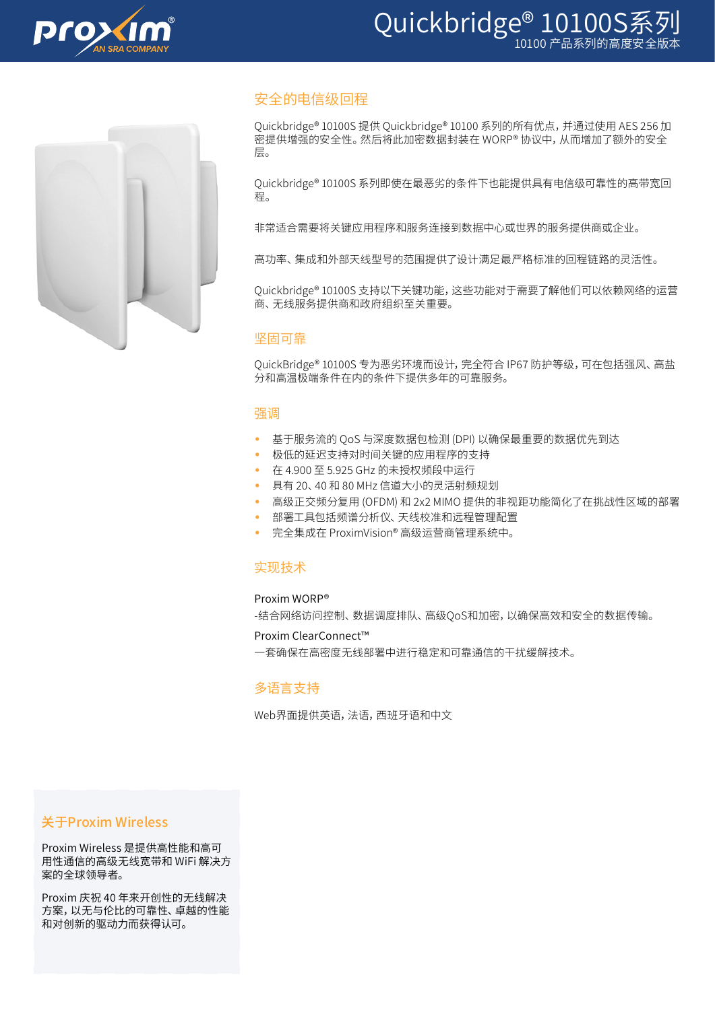

# Quickbridge® 10100S系列



# 安全的电信级回程

Quickbridge® 10100S 提供 Quickbridge® 10100 系列的所有优点,并通过使用 AES 256 加 密提供增强的安全性。然后将此加密数据封装在 WORP® 协议中,从而增加了额外的安全 层。

Quickbridge® 10100S 系列即使在最恶劣的条件下也能提供具有电信级可靠性的高带宽回 程。

非常适合需要将关键应用程序和服务连接到数据中心或世界的服务提供商或企业。

高功率、集成和外部天线型号的范围提供了设计满足最严格标准的回程链路的灵活性。

Quickbridge® 10100S 支持以下关键功能,这些功能对于需要了解他们可以依赖网络的运营 商、无线服务提供商和政府组织至关重要。

#### 坚固可靠

QuickBridge® 10100S 专为恶劣环境而设计,完全符合 IP67 防护等级,可在包括强风、高盐 分和高温极端条件在内的条件下提供多年的可靠服务。

## 强调

- 基于服务流的 QoS 与深度数据包检测 (DPI) 以确保最重要的数据优先到达
- 极低的延迟支持对时间关键的应用程序的支持
- 在 4.900 至 5.925 GHz 的未授权频段中运行
- 具有 20、40 和 80 MHz 信道大小的灵活射频规划
- 高级正交频分复用 (OFDM) 和 2x2 MIMO 提供的非视距功能简化了在挑战性区域的部署
- 部署工具包括频谱分析仪、天线校准和远程管理配置
- 完全集成在 ProximVision® 高级运营商管理系统中。

#### 实现技术

#### Proxim WORP®

-结合网络访问控制、数据调度排队、高级QoS和加密,以确保高效和安全的数据传输。

#### Proxim ClearConnect™

一套确保在高密度无线部署中进行稳定和可靠通信的干扰缓解技术。

## 多语言支持

Web界面提供英语,法语,西班牙语和中文

## 关于Proxim Wireless

Proxim Wireless 是提供高性能和高可 用性通信的高级无线宽带和 WiFi 解决方 案的全球领导者。

Proxim 庆祝 40 年来开创性的无线解决 方案,以无与伦比的可靠性、卓越的性能 和对创新的驱动力而获得认可。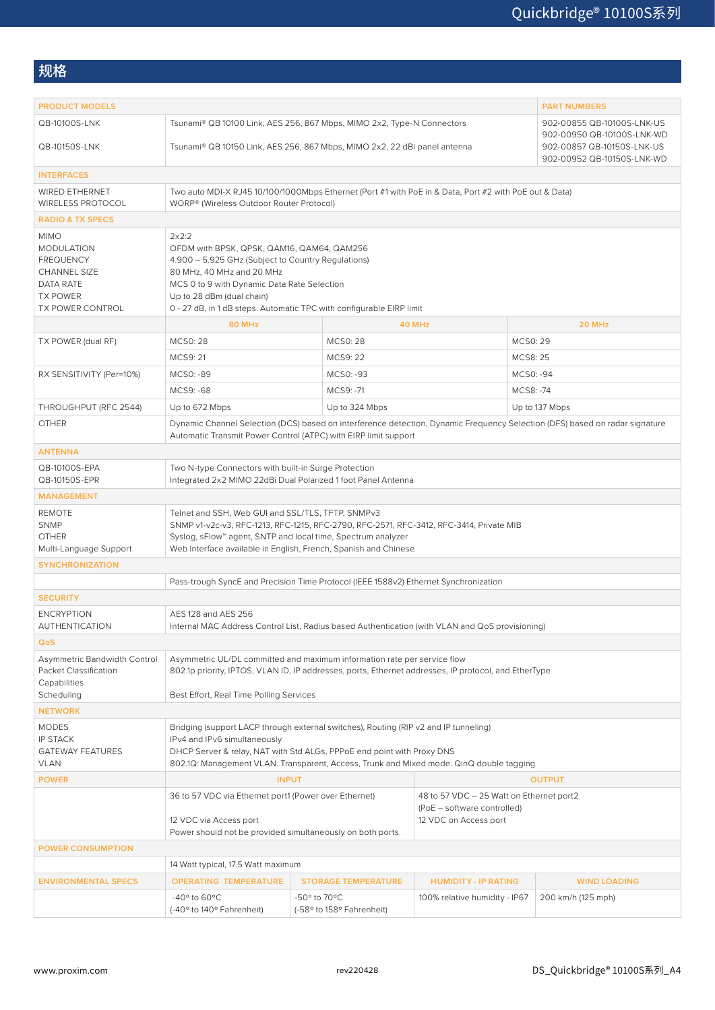规格

| <b>PRODUCT MODELS</b>                                                                                                                  |                                                                                                                                                                                                                                                                                            |                                           |                                                                                                  | <b>PART NUMBERS</b> |  |  |
|----------------------------------------------------------------------------------------------------------------------------------------|--------------------------------------------------------------------------------------------------------------------------------------------------------------------------------------------------------------------------------------------------------------------------------------------|-------------------------------------------|--------------------------------------------------------------------------------------------------|---------------------|--|--|
| QB-10100S-LNK<br>QB-10150S-LNK                                                                                                         | Tsunami® QB 10100 Link, AES 256, 867 Mbps, MIMO 2x2, Type-N Connectors<br>902-00855 QB-10100S-LNK-US<br>902-00950 QB-10100S-LNK-WD<br>902-00857 QB-10150S-LNK-US                                                                                                                           |                                           |                                                                                                  |                     |  |  |
|                                                                                                                                        | Tsunami® QB 10150 Link, AES 256, 867 Mbps, MIMO 2x2, 22 dBi panel antenna<br>902-00952 QB-10150S-LNK-WD                                                                                                                                                                                    |                                           |                                                                                                  |                     |  |  |
| <b>INTERFACES</b>                                                                                                                      |                                                                                                                                                                                                                                                                                            |                                           |                                                                                                  |                     |  |  |
| <b>WIRED ETHERNET</b><br>WIRELESS PROTOCOL                                                                                             | Two auto MDI-X RJ45 10/100/1000Mbps Ethernet (Port #1 with PoE in & Data, Port #2 with PoE out & Data)<br>WORP® (Wireless Outdoor Router Protocol)                                                                                                                                         |                                           |                                                                                                  |                     |  |  |
| <b>RADIO &amp; TX SPECS</b>                                                                                                            |                                                                                                                                                                                                                                                                                            |                                           |                                                                                                  |                     |  |  |
| <b>MIMO</b><br><b>MODULATION</b><br><b>FREQUENCY</b><br><b>CHANNEL SIZE</b><br>DATA RATE<br><b>TX POWER</b><br><b>TX POWER CONTROL</b> | 2x2:2<br>OFDM with BPSK, QPSK, QAM16, QAM64, QAM256<br>4.900 - 5.925 GHz (Subject to Country Regulations)<br>80 MHz, 40 MHz and 20 MHz<br>MCS 0 to 9 with Dynamic Data Rate Selection<br>Up to 28 dBm (dual chain)<br>0 - 27 dB, in 1 dB steps. Automatic TPC with configurable EIRP limit |                                           |                                                                                                  |                     |  |  |
|                                                                                                                                        | <b>80 MHz</b>                                                                                                                                                                                                                                                                              |                                           | 40 MHz                                                                                           | 20 MHz              |  |  |
| TX POWER (dual RF)                                                                                                                     | <b>MCSO: 28</b>                                                                                                                                                                                                                                                                            | <b>MCS0:28</b>                            |                                                                                                  | MCS0: 29            |  |  |
|                                                                                                                                        | MCS9: 21                                                                                                                                                                                                                                                                                   | MCS9: 22                                  |                                                                                                  | MCS8: 25            |  |  |
| RX SENSITIVITY (Per=10%)                                                                                                               | MCS0: -89                                                                                                                                                                                                                                                                                  | MCS0: -93                                 |                                                                                                  | MCS0: -94           |  |  |
|                                                                                                                                        | MCS9: -68                                                                                                                                                                                                                                                                                  | MCS9: -71                                 |                                                                                                  | MCS8: -74           |  |  |
| THROUGHPUT (RFC 2544)                                                                                                                  | Up to 672 Mbps                                                                                                                                                                                                                                                                             | Up to 324 Mbps                            |                                                                                                  | Up to 137 Mbps      |  |  |
| <b>OTHER</b>                                                                                                                           | Dynamic Channel Selection (DCS) based on interference detection, Dynamic Frequency Selection (DFS) based on radar signature<br>Automatic Transmit Power Control (ATPC) with EIRP limit support                                                                                             |                                           |                                                                                                  |                     |  |  |
| <b>ANTENNA</b>                                                                                                                         |                                                                                                                                                                                                                                                                                            |                                           |                                                                                                  |                     |  |  |
| QB-10100S-EPA<br>QB-10150S-EPR                                                                                                         | Two N-type Connectors with built-in Surge Protection<br>Integrated 2x2 MIMO 22dBi Dual Polarized 1 foot Panel Antenna                                                                                                                                                                      |                                           |                                                                                                  |                     |  |  |
| <b>MANAGEMENT</b>                                                                                                                      |                                                                                                                                                                                                                                                                                            |                                           |                                                                                                  |                     |  |  |
| <b>REMOTE</b><br><b>SNMP</b><br><b>OTHER</b><br>Multi-Language Support                                                                 | Telnet and SSH, Web GUI and SSL/TLS, TFTP, SNMPv3<br>SNMP v1-v2c-v3, RFC-1213, RFC-1215, RFC-2790, RFC-2571, RFC-3412, RFC-3414, Private MIB<br>Syslog, sFlow™ agent, SNTP and local time, Spectrum analyzer<br>Web Interface available in English, French, Spanish and Chinese            |                                           |                                                                                                  |                     |  |  |
| <b>SYNCHRONIZATION</b>                                                                                                                 |                                                                                                                                                                                                                                                                                            |                                           |                                                                                                  |                     |  |  |
|                                                                                                                                        | Pass-trough SyncE and Precision Time Protocol (IEEE 1588v2) Ethernet Synchronization                                                                                                                                                                                                       |                                           |                                                                                                  |                     |  |  |
| <b>SECURITY</b>                                                                                                                        |                                                                                                                                                                                                                                                                                            |                                           |                                                                                                  |                     |  |  |
| <b>ENCRYPTION</b><br>AUTHENTICATION                                                                                                    | AFS 128 and AFS 256<br>Internal MAC Address Control List, Radius based Authentication (with VLAN and QoS provisioning)                                                                                                                                                                     |                                           |                                                                                                  |                     |  |  |
| QoS                                                                                                                                    |                                                                                                                                                                                                                                                                                            |                                           |                                                                                                  |                     |  |  |
| Asymmetric Bandwidth Control<br>Packet Classification<br>Capabilities<br>Scheduling                                                    | Asymmetric UL/DL committed and maximum information rate per service flow<br>802.1p priority, IPTOS, VLAN ID, IP addresses, ports, Ethernet addresses, IP protocol, and EtherType<br>Best Effort, Real Time Polling Services                                                                |                                           |                                                                                                  |                     |  |  |
| <b>NETWORK</b>                                                                                                                         |                                                                                                                                                                                                                                                                                            |                                           |                                                                                                  |                     |  |  |
| <b>MODES</b><br><b>IP STACK</b><br><b>GATEWAY FEATURES</b><br>VLAN                                                                     | Bridging (support LACP through external switches), Routing (RIP v2 and IP tunneling)<br>IPv4 and IPv6 simultaneously<br>DHCP Server & relay, NAT with Std ALGs, PPPoE end point with Proxy DNS<br>802.1Q: Management VLAN. Transparent, Access, Trunk and Mixed mode. QinQ double tagging  |                                           |                                                                                                  |                     |  |  |
| <b>POWER</b>                                                                                                                           | <b>INPUT</b><br><b>OUTPUT</b>                                                                                                                                                                                                                                                              |                                           |                                                                                                  |                     |  |  |
|                                                                                                                                        | 36 to 57 VDC via Ethernet port1 (Power over Ethernet)<br>12 VDC via Access port<br>Power should not be provided simultaneously on both ports.                                                                                                                                              |                                           | 48 to 57 VDC - 25 Watt on Ethernet port2<br>(PoE - software controlled)<br>12 VDC on Access port |                     |  |  |
| <b>POWER CONSUMPTION</b>                                                                                                               |                                                                                                                                                                                                                                                                                            |                                           |                                                                                                  |                     |  |  |
|                                                                                                                                        | 14 Watt typical, 17.5 Watt maximum                                                                                                                                                                                                                                                         |                                           |                                                                                                  |                     |  |  |
| <b>ENVIRONMENTAL SPECS</b>                                                                                                             | <b>OPERATING TEMPERATURE</b>                                                                                                                                                                                                                                                               | <b>STORAGE TEMPERATURE</b>                | <b>HUMIDITY - IP RATING</b>                                                                      | <b>WIND LOADING</b> |  |  |
|                                                                                                                                        | -40 $\degree$ to 60 $\degree$ C<br>(-40° to 140° Fahrenheit)                                                                                                                                                                                                                               | -50° to 70°C<br>(-58° to 158° Fahrenheit) | 100% relative humidity - IP67                                                                    | 200 km/h (125 mph)  |  |  |